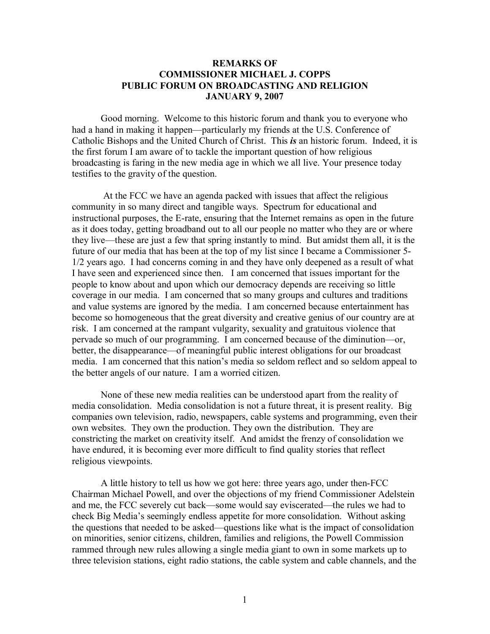## **REMARKS OF COMMISSIONER MICHAEL J. COPPS PUBLIC FORUM ON BROADCASTING AND RELIGION JANUARY 9, 2007**

Good morning. Welcome to this historic forum and thank you to everyone who had a hand in making it happen—particularly my friends at the U.S. Conference of Catholic Bishops and the United Church of Christ. This *is* an historic forum. Indeed, it is the first forum I am aware of to tackle the important question of how religious broadcasting is faring in the new media age in which we all live. Your presence today testifies to the gravity of the question.

At the FCC we have an agenda packed with issues that affect the religious community in so many direct and tangible ways. Spectrum for educational and instructional purposes, the E-rate, ensuring that the Internet remains as open in the future as it does today, getting broadband out to all our people no matter who they are or where they live—these are just a few that spring instantly to mind. But amidst them all, it is the future of our media that has been at the top of my list since I became a Commissioner 5- 1/2 years ago. I had concerns coming in and they have only deepened as a result of what I have seen and experienced since then. I am concerned that issues important for the people to know about and upon which our democracy depends are receiving so little coverage in our media. I am concerned that so many groups and cultures and traditions and value systems are ignored by the media. I am concerned because entertainment has become so homogeneous that the great diversity and creative genius of our country are at risk. I am concerned at the rampant vulgarity, sexuality and gratuitous violence that pervade so much of our programming. I am concerned because of the diminution—or, better, the disappearance—of meaningful public interest obligations for our broadcast media. I am concerned that this nation's media so seldom reflect and so seldom appeal to the better angels of our nature. I am a worried citizen.

None of these new media realities can be understood apart from the reality of media consolidation. Media consolidation is not a future threat, it is present reality. Big companies own television, radio, newspapers, cable systems and programming, even their own websites. They own the production. They own the distribution. They are constricting the market on creativity itself. And amidst the frenzy of consolidation we have endured, it is becoming ever more difficult to find quality stories that reflect religious viewpoints.

A little history to tell us how we got here: three years ago, under then-FCC Chairman Michael Powell, and over the objections of my friend Commissioner Adelstein and me, the FCC severely cut back—some would say eviscerated—the rules we had to check Big Media's seemingly endless appetite for more consolidation. Without asking the questions that needed to be asked—questions like what is the impact of consolidation on minorities, senior citizens, children, families and religions, the Powell Commission rammed through new rules allowing a single media giant to own in some markets up to three television stations, eight radio stations, the cable system and cable channels, and the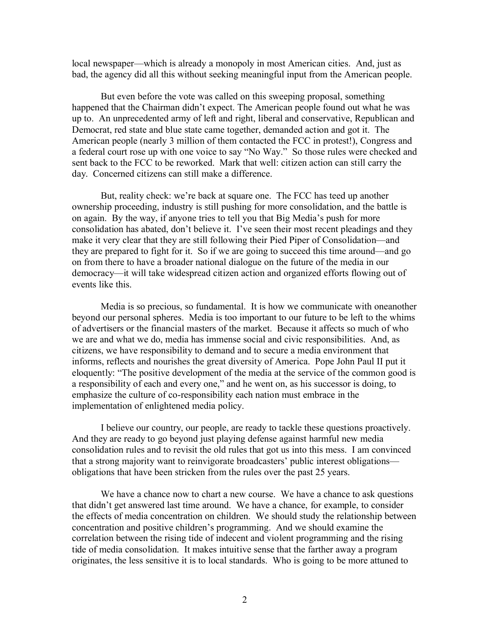local newspaper—which is already a monopoly in most American cities. And, just as bad, the agency did all this without seeking meaningful input from the American people.

But even before the vote was called on this sweeping proposal, something happened that the Chairman didn't expect. The American people found out what he was up to. An unprecedented army of left and right, liberal and conservative, Republican and Democrat, red state and blue state came together, demanded action and got it. The American people (nearly 3 million of them contacted the FCC in protest!), Congress and a federal court rose up with one voice to say "No Way." So those rules were checked and sent back to the FCC to be reworked. Mark that well: citizen action can still carry the day. Concerned citizens can still make a difference.

But, reality check: we're back at square one. The FCC has teed up another ownership proceeding, industry is still pushing for more consolidation, and the battle is on again. By the way, if anyone tries to tell you that Big Media's push for more consolidation has abated, don't believe it. I've seen their most recent pleadings and they make it very clear that they are still following their Pied Piper of Consolidation—and they are prepared to fight for it. So if we are going to succeed this time around—and go on from there to have a broader national dialogue on the future of the media in our democracy—it will take widespread citizen action and organized efforts flowing out of events like this.

Media is so precious, so fundamental. It is how we communicate with oneanother beyond our personal spheres. Media is too important to our future to be left to the whims of advertisers or the financial masters of the market. Because it affects so much of who we are and what we do, media has immense social and civic responsibilities. And, as citizens, we have responsibility to demand and to secure a media environment that informs, reflects and nourishes the great diversity of America. Pope John Paul II put it eloquently: "The positive development of the media at the service of the common good is a responsibility of each and every one," and he went on, as his successor is doing, to emphasize the culture of co-responsibility each nation must embrace in the implementation of enlightened media policy.

I believe our country, our people, are ready to tackle these questions proactively. And they are ready to go beyond just playing defense against harmful new media consolidation rules and to revisit the old rules that got us into this mess. I am convinced that a strong majority want to reinvigorate broadcasters' public interest obligations obligations that have been stricken from the rules over the past 25 years.

We have a chance now to chart a new course. We have a chance to ask questions that didn't get answered last time around. We have a chance, for example, to consider the effects of media concentration on children. We should study the relationship between concentration and positive children's programming. And we should examine the correlation between the rising tide of indecent and violent programming and the rising tide of media consolidation. It makes intuitive sense that the farther away a program originates, the less sensitive it is to local standards. Who is going to be more attuned to